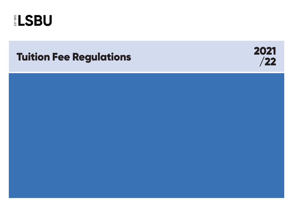



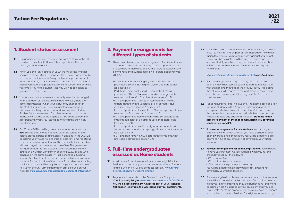# 2. Payment arrangements for different types of students

- **2.1** There are different payment arrangements for different types of students. Where 'EU continuing student' appears below or elsewhere in these regulations, this refers to students who commenced their current course in or before academic year 2020/21.
	- Full-time Home, continuing EU, new settled-status or pre-settled EU and EEA migrant worker undergraduates *(see section 3)*
	- Part-time Home, continuing EU, new settled-status or pre-settled EU and EEA migrant worker undergraduates *(see section 4, section 5 and section 6 or section 7)*
	- Full- and part-time Overseas/International or new EU undergraduates without settled or pre-settled status *(see section 5 and section 6 or section 7)*
	- Full- and part-time Home or EU or Overseas postgraduates *(see section 5 and section 6 or section 7)*
	- Full- and part-time Home or continuing EU postgraduate students in receipt of a postgraduate or doctoral loan (see section 5.10)
	- Full- and part-time new EU postgraduate students, with settled status, in receipt of a postgraduate or doctoral loan (see section 5.10)
	- Full- and part-time new EU postgraduate students, with pre-settled status (see section 5.10)

- **3.1** Applications for maintenance loans (where eligible), tuition fee loans and other support can be made online to Student Finance England (SFE) (see contacts section). *[www.gov.uk/](http://www.gov.uk/browse/education/student-finance) [browse/education/student-finance](http://www.gov.uk/browse/education/student-finance)*
- **3.2** Payment will be made by the Student Loans Company. *Check your eligibility at [www.lsbu.ac.uk/fees/underGrad.html](http://www.lsbu.ac.uk/courses/undergraduate/fees-and-funding)*  **You will be sent a Payment Advice as part of your Financial Notification letter from the SLC setting out your entitlements.**

**3.3** You will be given the option to take out a loan for your tuition fees. You must tell SFE as part of your application how much tuition fee loan you wish to borrow. Any amount you do not borrow will be payable in full before your record can be updated to fully enrolled or by your re-enrolment deadline unless it is agreed at your enrolment that you can pay in

**3.4** For continuing/re-enrolling students, the exam board decision may allow some students to pass to the next level with outstanding modules at the previous level. This means that students will progress to the next stage of their course and also complete any outstanding modules from the

### 3. Full-time undergraduates assessed as Home students

**3.5** For continuing/re-enrolling students, the exam board decision for some students will be 'continue outstanding modules' or 'repeat failed modules with attendance'. In both cases this means that you must repeat all failed modules and are ineligible to take any additional modules. **Students remain liable for payment of the repeat module(s) in lieu of funding** 

**3.6 Payment arrangements for new students.** As part of your enrolment we will check whether you have applied for and been awarded a tuition fee loan. You will be asked to make payment in full of any amount not covered by your tuition

**3.8** If you are eligible but choose not to take out a tuition fee loan you will be expected to make payment of your tuition fees in full at your online enrolment or by the published re-enrolment deadline unless it is agreed at your enrolment that you can pay in instalments. An exception to this would be if you choose not to take out a tuition fee loan for religious reasons or if you

instalments.

#### *Visit [www.lsbu.ac.uk/fees/underGrad.html](http://www.lsbu.ac.uk/courses/undergraduate/fees-and-funding) to find out more.*

- previous year.
- **confirmation from SFE.**
- fee loan.

- **1.1** The university is required to verify your right to study in the UK in order to comply with Home Office regulations. This may affect your right to enrol.
- **1.2** When you enrol on a course at LSBU, we will assess whether you are a Home, EU or Overseas student. The reason we do this is to determine the level of fees payable (if appropriate) and for our regulatory returns. You must complete a Student Status Assessment form and provide evidence to support the answers you give. If you hold a student visa you will not be eligible to join a part-time course.
- **1.3** Your student status assessment normally remains unchanged for the duration of your course of study. However, there are some circumstances when your status may change after the start of your course. If your circumstances change, you will be required to provide proof and to complete a further Student Status Assessment form, before a decision can be made. *Any new rate of fee payable will be charged from the next academic year.* Your status cannot change during an academic year.
- **1.4** On 23 June 2020, the UK government announced that any **new** EU students who do not have either EU settled or presettled status starting at a university in England in the 2021/22 academic year would no longer be eligible for Home fee status or have access to student loans. This means that such students will be charged the international rate of fee. The government has guaranteed that EU students who started their current course at an English university in or before 2020/21, and who continue on the same course, will still benefit from funding support (student loans) and retain the same fee level as Home students for the duration of the course. EU students not holding immigration status will be required to apply for a student visa to study in the UK. Further information can be found on our website: *[www.lsbu.ac.uk/international/eu-student-information](http://www.lsbu.ac.uk/international/eu-student-information)*

**3.7 Payment arrangements for continuing students.** You will need

- to have your Payment Advice available when you re-enrol online. It will set out the following: a) Your course fee b) Your tuition fee loan amount c) The amount you pay to your university You will be asked to make payment of any amount not covered by your tuition fee loan.
- 

### 1. Student status assessment

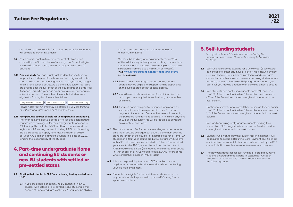are refused or are ineligible for a tuition fee loan. Such students will be able to pay in instalments.

- **3.9** Some courses contain field trips, the cost of which is not covered by the Student Loans Company. Your School will give you details of how much you need to pay and the date for payment.
- **3.10 Previous study.** You can usually get student finance funding for your first full degree. If you have studied a higher education course before and had funding for this course, you may not get funding for a second course. As a general rule tuition fee loans are available for the full length of the course plus one extra year if needed. This extra year can cover any false starts or course/ university transfers. The number of years that students are eligible for funding is calculated as follows:

Length of current course  $\|+\|$  one additional year  $\|-$  years of previous study

- **3.11 Postgraduate courses eligible for undergraduate SFE funding.** The arrangements above also apply to specific postgraduate courses which are eligible for the undergraduate package of SFE funding. This includes PGCE and MArch courses and preregistration PG nursing courses including PGDip Adult Nursing. Eligible students can apply for a maximum loan of £9250 per year. Any additional amount payable in excess of £9250, remains the responsibility of the student.
- 4. Part-time undergraduate Home and continuing EU students or new EU students with settled or pre-settled status
- **4.1 Starting their studies in 21/22 or continuing having started since 12/13.**
	- **4.1.1** If you are a Home or continuing EU student or new EU student with settled or pre-settled status studying a first degree at undergraduate level in 21/22 you may be eligible

for a non-income assessed tuition fee loan up to a maximum of £6,935.

You must be studying at a minimum intensity of 25% of the full-time equivalent per year, taking no more than four times the time it would take to complete the course if studied full-time (up to a maximum of 16 years). *Visit [www.gov.uk/student-finance/loans-and-grants](https://www.gov.uk/student-finance) for more details*

**5.1** Self-funding students studying for a whole year (2 semesters) can choose to either pay in full or pay by initial down payment and instalments. The number of instalments and due dates depend on whether you are a new or continuing student or are funding your tuition fees via a SFE postgraduate loan. If you pay in full you may be entitled to an early settlement discount.

**5.2** New students and continuing students from 17/18 onwards: pay 1/2 of the annual tuition fee, followed by two instalments of 1/4 of the fee – due on the dates given in the table in the

**5.3** Students who wish to pay their tuition fees in instalments will be required to set up a Recurring Card Payment (RCP) plan at enrolment/re-enrolment. Instructions on how to set up an RCP are included in the online enrolment/re-enrolment process.

**5.4** The payment deadlines for self-funding or part-self-funding students on programmes starting in September, October, November or December 2021 are detailed in the table on

- **4.1.2** Some students studying a second undergraduate degree may be eligible for support funding depending on the subject area of that second degree.
- **4.1.3** You will need to show evidence of your tuition fee loan or that you have applied for such a loan, at your online enrolment.
- **4.1.4** If you are not in receipt of a tuition fee loan or are not sponsored, you will be expected to make full or part payment of your tuition fee at or before enrolment or by the published re-enrolment deadline. A minimum payment of 50% of the full tuition fee will be required to complete enrolment/re-enrolment.
- **4.2** The total standard fee for part-time undergraduate students enrolling in 21/22 is averaged out equally per annum over the standard length of the course. For example fees for a Home/EU student on a four-year course are £6,935 per annum. Students with APEL will have their fee adjusted as follows. The standard yearly fee for the 21/22 year will be reduced by the total of: APEL module credit x £75 (for students who started their course in 16/17 or earlier) or APEL module credit x £77.08 (for students who started their course in 17/18 or later).
- **4.3** It is your responsibility to contact SFE to make sure your application is processed and you receive a letter confirming your fee loan entitlement.
- **4.4** Students not eligible for the part-time study fee loan can pay as self-funded, sponsored or part-self-funding/partsponsored students.

# 5. Self-funding students

*(not applicable to full-time Home and continuing EU undergraduates or new EU students in receipt of a tuition*

*fee loan)*

- 
- next column.

 Continuing students who started their courses in 16/17 or earlier: pay 1/3 of the annual tuition fee, followed by four instalments of 1/6 of the fee – due on the dates given in the table in the next

column.

 New and continuing postgraduate students funding their studies by a SFE postgraduate loan pay the fees by the due dates given in the table in the next column.

- 
- the following page.



 *Please note: your funding may be affected if you are thinking of withdrawing, interrupting or changing course.*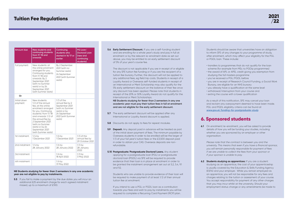**5.6 Early Settlement Discount.** If you are a self-funding student and are enrolling for a whole year's study and pay in full at enrolment or by the relevant re-enrolment date as set out above, you may be entitled to an early settlement discount of 5% of your year's course fee.

 The discount is not applicable if you are in receipt of or eligible for any SFE tuition fee funding or if you are the recipient of a tuition fee bursary. Further, the discount will not be applied to any additional fees, eg field trip costs. Students in receipt of a Loyalty Award or Overseas self-funded students in receipt of an International or Merit Scholarship may also qualify for the 5% early settlement discount on the balance of their fee once any discount has been applied. Please note that students in receipt of the 20% or 50% Loyalty Award do not qualify for the International or Merit Scholarships.

- **5.7** The early settlement discount will be applied after any International or Loyalty Award discount is applied.
- **5.8** Discounts do not apply to fees for repeat modules.
- **5.9 Deposit.** Any deposit paid in advance will be treated as part of the initial down payment of fees. The minimum payable by Overseas students in order to be enrolled will be the larger of 1/3 of your full year's tuition fees or the £3,500 deposit paid in order to obtain your CAS. Overseas deposits are nonrefundable.
- **5.10 Postgraduate/Postgraduate Doctoral Loans.** Any student applying for a postgraduate loan (PGL) or postgraduate doctoral loan (PGDL) via SFE will be required to provide evidence that their loan is in place at enrolment in order to be granted the instalment arrangement set out at 5.2, 5.4, 9.1 and 9.2.

 **NB Students studying for fewer than 2 semesters in any one academic year must pay their tuition fees in full at enrolment and are not eligible for the early settlement discount.**

> **6.1** On enrolment/re-enrolment, you will be asked to provide details of how you will be funding your studies, including whether you are sponsored by an employer or other

 Students who are unable to provide evidence of their loan will be required to make payment of at least 1/2 of their annual tuition fee at enrolment.

**6.2 Students studying as apprentices:** If you are a student studying as an apprentice, the cost of your apprenticeship is usually covered by the Education & Skills Funding Agency (ESFA) and your employer. While you remain employed as an apprentice, you will not be responsible for any fees and charges relating to the tuition or assessment of your course. You accept responsibility for payment of any other charges that you may incur whilst at the university. Should your employment status change or any amendments be made to

 If you intend to use a PGL or PGDL loan as a contribution towards your fees and wish to pay by instalments you will be required to complete a Recurring Card Payment (RCP) plan.

 Students should be aware that universities have an obligation to inform SFE of any changes to your programme of study, after enrolment, which may affect your eligibility for the PGL or PGDL loan. These include:

• transfers to programmes that do not qualify for the loan scheme (for example from MSc to PGDip programmes) • the award of APL or APEL credit giving you exemption from

- 
- studying the full masters programme
- 
- 
- 
- 
- you've received a PGL/PGDL before
- you are in receipt of Research Council Funding, a Social Work Bursary, are eligible for an NHS bursary
- you already have a qualification at the same level
- withdrawal/interruption from your course and
- exiting the course with a lower qualification

**5.5** If you fail to make a payment by the due dates you will incur an additional £25 enrolment charge for each agreed instalment missed, up to a maximum of £100.

 As a result of this notification, SFE may cancel your loan and reclaim any overpayment deemed to have been made. PGL and PGDL eligibility criteria can be found at *[www.gov.uk/funding-for-postgraduate-study](http://www.gov.uk/funding-for-postgraduate-study)*

# 6. Sponsored students

organisation.

 *Please note that the contract is between you and the university. This means that even if you have a financial sponsor, you will remain personally responsible for payment of fees if we are unable to collect the fees from your sponsor or if your sponsor is unable to pay.*



| <b>Amount due</b>       | <b>New students and</b><br>continuing students<br>from $17/18$ and<br>onwards                                                                                                                                                                                                    | Continuing<br>students who<br>started in 16/17 or<br>earlier                                                                          | PG Loan/<br><b>Doctoral Loan</b><br>(new and<br>continuing<br>students) |
|-------------------------|----------------------------------------------------------------------------------------------------------------------------------------------------------------------------------------------------------------------------------------------------------------------------------|---------------------------------------------------------------------------------------------------------------------------------------|-------------------------------------------------------------------------|
| Full payment            | New students: at<br>the online enrolment<br>arranged for you.<br>Continuing students<br>from $17/18$ and<br>onwards: By 2<br>September 2021<br>(with no Summer<br>resits) or by 24<br>September 2021<br>(with Summer resits)                                                     | By 2 September<br>2021 (with no<br>Summer resits)<br>24 September<br>2021 (with Summer<br>resits)                                     |                                                                         |
| Or                      |                                                                                                                                                                                                                                                                                  |                                                                                                                                       |                                                                         |
| Initial down<br>payment | New students:<br>$1/2$ of the annual<br>fee, at the online<br>enrolment arranged<br>for you. Continuing<br>students: from 17/18<br>and onwards: 1/2 of<br>the annual fee by<br>2 September 2021<br>(with no Summer<br>resits) or by 24<br>September 2021<br>(with Summer resits) | $1/3$ of the<br>annual fee by 2<br>September 2021<br>(with no Summer<br>resits) or by<br>24 September<br>2021 (with Summer<br>resits) |                                                                         |
| 1st instalment          | $1/4$ by<br>1 December 2021                                                                                                                                                                                                                                                      | $1/6$ by<br>1 December 2021                                                                                                           | $1/3$ of the<br>annual fee by<br>29 October 2021                        |
| 2nd instalment          | $1/4$ by<br>28 January 2022                                                                                                                                                                                                                                                      | $1/6$ by<br>28 January 2022                                                                                                           | $1/3$ by<br>28 January<br>2022                                          |
| 3rd instalment          |                                                                                                                                                                                                                                                                                  | $1/6$ by<br>18 April 2022                                                                                                             | $1/3$ by<br>3 May 2022                                                  |
| 4th instalment          |                                                                                                                                                                                                                                                                                  | $1/6$ by<br>31 May 2022                                                                                                               |                                                                         |

#### **NB Students studying for fewer than 2 semesters in any one academic year are not eligible to pay by instalments.**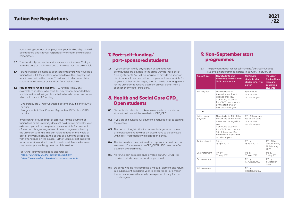your existing contract of employment, your funding eligibility will be impacted and it is your responsibility to inform the university immediately.

- **6.3** The standard payment terms for sponsor invoices are 30 days from the date of the invoice and all invoices must be paid in full.
- **6.4** Refunds will not be made to sponsors/employers who have paid tuition fees in full for students who then leave their employ but remain enrolled on the course. This does not affect refunds for students who interrupt or withdraw from their course.
- **6.5 NHS contract-funded students.** HEE funding is now only available to students who have, for any reason, extended their study from the following cohorts (below) or who enrol on courses which still attract HEE funding:
	- Undergraduate 3-Year Courses: September 2016 cohort (0916) or prior.
	- Postgraduate 2-Year Courses: September 2017 cohort (0917) or prior.

 If you cannot provide proof of approval for the payment of tuition fees or the university does not hold any approval for your extension you will remain personally responsible for payment of fees and charges, regardless of any arrangements held by the university with HEE. This can relate to fees for the whole or part of the year, modules, the course or payments associated with attendance on the course. Further, you may get approval for an extension and still have to meet any difference between payments approved or granted and those due.

For further information please also refer to:

**7.1** If your sponsor is only paying part of your fees your contributions are payable in the same way as those of selffunding students. You will be required to provide full sponsor details at enrolment. You will remain personally responsible for payment of fees and charges, even if there is an arrangement for the university to receive payment on your behalf from a sponsor or any other third party.

- *https://www.gov.uk/nhs-bursaries/eligibility*
- *https://www.nhsbsa.nhs.uk/nhs-bursary-students*

**9.1** The payment deadlines for self-funding/part-self-funding students on programmes starting in January, February or

| <b>Amount due</b>       | <b>New students and</b><br>continuing students from<br>17/18 and onwards                                                                                                                                        | Continuing<br>students who<br>started in 16/17 or<br>earlier            | PG Loan/<br><b>Doctoral Loan</b><br>(new and<br>continuing<br>students) |
|-------------------------|-----------------------------------------------------------------------------------------------------------------------------------------------------------------------------------------------------------------|-------------------------------------------------------------------------|-------------------------------------------------------------------------|
| Full payment            | New students: at<br>the online enrolment<br>arranged for you.<br>Continuing students<br>from 17/18 and onwards:<br>By the start of your<br>new academic year.                                                   | By the start<br>of your new<br>academic year                            |                                                                         |
| Or                      |                                                                                                                                                                                                                 |                                                                         |                                                                         |
| Initial down<br>payment | New students: 1/2 of the<br>annual fee at the online<br>enrolment arranged for<br>you.<br>Continuing students<br>from 17/18 and onwards:<br>1/2 of the annual fee<br>by the start of your new<br>academic year. | $1/3$ of the annual<br>fee by the start<br>of your new<br>academic year |                                                                         |
| 1st instalment          | $1/4$ by<br>18 April 2022                                                                                                                                                                                       | $1/6$ by<br>18 April 2022                                               | $1/3$ of the<br>annual fee by<br>28 February<br>2022                    |
| 2nd instalment          | $1/4$ by<br>31 May 2022                                                                                                                                                                                         | $1/6$ by<br>31 May 2022                                                 | $1/3$ by<br>3 May 2022                                                  |
| 3rd instalment          |                                                                                                                                                                                                                 | $1/6$ by<br>19 August 2022                                              | $1/3$ by<br>11 October<br>2022                                          |
| 4th instalment          |                                                                                                                                                                                                                 | $1/6$ by<br>11 October 2022                                             |                                                                         |
|                         |                                                                                                                                                                                                                 |                                                                         |                                                                         |

# Tuition Fee Regulations

# 7. Part-self-funding/ part-sponsored students

8. Health and Social Care CPD\_ Open students

- **8.1** Students who decide to take a slower route or modules on a standalone basis will be enrolled on CPD\_OPEN.
- **8.2** If you are self-funded full payment is required prior to starting the module.
- **8.3** The period of registration for courses is six years maximum; all credits counting towards an award have to be achieved within a six-year academic registration period.
- **8.4** The fee needs to be confirmed by a sponsor or paid prior to enrolment. For enrolment on CPD\_OPEN, HSC does not offer payment by instalments.
- **8.5** No refund can be made once enrolled on CPD\_OPEN. This applies to study days and workshops as well.
- **8.6** Students who do not complete a module/element and return in a subsequent academic year to either repeat or enrol on the same module will normally be expected to pay for the module again.

# 9. Non-September start programmes

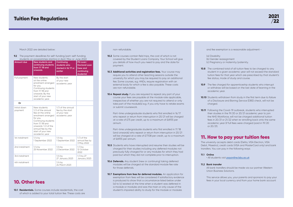#### non-refundable.

- **10.2** Some courses contain field trips, the cost of which is not covered by the Student Loans Company. Your School will give you details of how much you need to pay and the date for payment.
- **10.3 Additional activities and registration fees.** Your course may require you to attend other teaching sessions outside the university for which you may be required to pay an additional fee. Some courses, e.g. HNDs, require registration with an external body for which a fee is also payable. These costs are non-refundable.
- **10.4 Repeat study.** If you are required to repeat any part of your course your fees are payable at the module rate applicable, irrespective of whether you are not required to attend or only take part of the module(s) e.g. if you only have to retake exams or submit coursework.

 Part-time undergraduate students who first enrolled in 16/17 who repeat or return from interruption in 20/21 will be charged at a rate of £75 per credit, up to a maximum of £6935 per annum.

- **10.5** Students who have interrupted and resume their studies will be charged for their studies including any deferred modules not previously fully charged for or any modules for which they had paid but which they did not complete prior to interruption.
- **10.6 Deferrals.** Any student (new or continuing) taking deferred modules will be charged at the standard module fee rate for those deferrals.
- **10.7 Exemptions from fees for deferred modules.** An application for exemption from fees will be considered if satisfactory evidence is produced to show that a circumstance listed below under (a) to (c) existed at the time when a student was deferred in a module or modules and was the main or only cause of the student's impaired ability to study for the module or modules

 Part-time undergraduate students who first enrolled in 17/18 (and onwards) who repeat or return from interruption in 20/21 will be charged at a rate of £77.08 per credit, up to a maximum of £6935 per annum.

**10.8** The combined total of all tuition fees to be charged to any student in a given academic year will not exceed the standard tuition fees for that year which are prescribed by that student's fee status, mode of study and course.

**10.9** The fee charged for apprenticeship students who interrupt or withdraw will be based on the last date of learning in the

**10.10** Students withdrawn from study in the first term due to failure of a Disclosure and Barring Service (DBS) check, will not be

#### **9.2** The payment deadlines for self-funding/part-self-funding students on programmes starting in April, May or June 2022

**10.1 Residentials.** Some courses include residentials, the cost of which is added to your total tuition fee. These costs are and fee exemption is a reasonable adjustment -

(b) Gender reassignment (c) Pregnancy or maternity/paternity.

- (a) Disability
- 
- 
- 
- academic year.
- charged.
- or 20/21).

**10.11** Following the Covid-19 outbreak, students who interrupted their studies in the 19/20 or 20/21 academic year to join the NHS Workforce, will not be charged additional tuition fees in 20/21 or 21/22 when re-enrolling back onto the same academic year (if full fees were charged/paid in 19/20

# 11. How to pay your tuition fees

The university accepts debit cards (Delta, VISA Electron, VISA Debit, Maestro), credit cards (VISA and MasterCard only) and bank transfers. You can pay in the following ways:

**11.1 Online**

• All students visit *[payonline.lsbu.ac.uk](http://payonline.lsbu.ac.uk)*

**11.2 Bank transfer**

All bank transfers should be made via our partner Western Union Business Solutions.

 This service allows you, your parents and sponsors to pay your fees in your local currency and from your home bank account

# **Tuition Fee Regulations**

#### March 2022 are detailed below:

### 10. Other fees



| <b>Amount due</b>       | <b>New students and</b><br>continuing students<br>from $17/18$ and<br>onwards                                                                                                                                          | Continuing<br>students who<br>started in 16/17 or<br>earlier          | PG Loan/<br><b>Doctoral Loan</b><br>(new and<br>continuing<br>students) |
|-------------------------|------------------------------------------------------------------------------------------------------------------------------------------------------------------------------------------------------------------------|-----------------------------------------------------------------------|-------------------------------------------------------------------------|
| Full payment            | New students:<br>at the online<br>enrolment arranged<br>for you.<br>Continuing students<br>from $17/18$ and<br>onwards: By the<br>start of your new<br>academic year.                                                  | By the start<br>of your new<br>academic year                          |                                                                         |
| Or                      |                                                                                                                                                                                                                        |                                                                       |                                                                         |
| Initial down<br>payment | New students:<br>1/2 of the annual<br>fee at the online<br>enrolment arranged<br>for you.<br>Continuing students<br>from $17/18$ and<br>onwards: 1/2 of the<br>annual fee by the<br>start of your new<br>academic year | 1/3 of the annual<br>fee by the start<br>of your new<br>academic year |                                                                         |
| 1st instalment          | $1/4$ by<br>1 September 2022                                                                                                                                                                                           | $1/6$ by<br>1 September 2022                                          | $1/3$ of the<br>annual fee by<br>3 May 2022                             |
| 2nd instalment          | $1/4$ by<br>25 November 2022                                                                                                                                                                                           | $1/6$ by<br>2 December 2022                                           | $1/3$ by<br>12 October<br>2022                                          |
| 3rd instalment          |                                                                                                                                                                                                                        | $1/6$ by<br>27 January 2023                                           | 1/3 by 27<br>January 2023                                               |
| 4th instalment          |                                                                                                                                                                                                                        | $1/6$ by<br>24 March 2023                                             |                                                                         |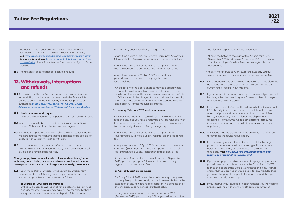without worrying about exchange rates or bank charges. Your payment will arrive quickly and in full to the university. *Visit www.lsbu.ac.uk/courses/funding-information/western-union for more information or [https://student.globalpay.wu.com/geo](https://student.globalpay.wu.com/geo-buyer/lsbu#!/)[buyer/lsbu#!/](https://student.globalpay.wu.com/geo-buyer/lsbu#!/) This link requires the latest version of your internet browser.*

**11.3** The university does not accept cash or cheques.

**12.1** If you wish to withdraw from or interrupt your studies it is your responsibility to make an appointment with the Student Life Centre to complete the withdrawal/interruption process as outlined at *[my.lsbu.ac.uk/my/portal/My-Course/Course-](https://my.lsbu.ac.uk/my/portal/My-Course/Course-Administration/Interruption-or-Withdrawal-from-your-Studies)[Administration/Interruption-or-Withdrawal-from-your-Studies](https://my.lsbu.ac.uk/my/portal/My-Course/Course-Administration/Interruption-or-Withdrawal-from-your-Studies)*

# 12. Withdrawals, interruptions and refunds

#### **12.2 It is also your responsibility to:**

**12.6** If your Interruption of Studies/Withdrawal from Studies form is submitted by the following dates or you are withdrawn or suspended your fees will be adjusted as follows:

- Discuss the decision with your personal tutor or Course Director.
- **12.3** You will continue to be liable for fees until your Interruption in Studies/Withdrawal from Studies has been agreed.
- **12.4** Students who progress and re-enrol on the dissertation stage of masters courses will not have their fee adjusted or be eligible for a refund if they later interrupt or withdraw.
- **12.5** If you continue to use your card after you claim to have withdrawn or interrupted your studies you will be treated as still enrolled and remain liable for fees.

#### **Charges apply to all enrolled students (new and continuing) who withdraw, are excluded, or whose studies are terminated, or who interrupt or are suspended, or change mode of study/attendance.**

#### **For September 2021 start programmes:**

• By Friday 1 October 2021: you will not be liable to pay any fees and any fees you have already paid will be refunded (with the exception of any non-refundable deposit). This concession by

the university does not affect your legal rights.

**12.7** If you change mode of study/attendance you will be classified as starting a new course of study and will be charged the current rate of fees for new students.

**12.8** If your period of continuous interruption exceeds 1 year you will be charged at the prevailing rate for new students in the year that you resume your studies.

- At any time before 3 January 2022: you must pay 25% of your full year's tuition fee plus any registration and residential fee
- At any time before 25 April 2022: you must pay 50% of your full year's tuition fee plus any registration and residential fee
- At any time on or after 25 April 2022, you must pay your full year's tuition fee plus any registration and residential fee.
- An exception to the above charges may be applied where a student has attempted modules and obtained module results and the fee for those modules exceeds either the 25% or 50% that would be charged for interruption/withdrawal by the appropriate deadline. In this instance, students may be charged in full for the modules attempted.

**12.9** If you are in receipt of any of the following tuition fee discounts (LSBU Loyalty Award, International or Institutional) and as a result of your withdrawal or interruption your overall fee liability is reduced, you will no longer be eligible for the discount/s. However, you will remain eligible for discounts if your interruption was the result of pregnancy, maternity

**12.10** Any refund is at the discretion of the university. You will need to complete the refund request form.

**12.11** In all cases any refund due will be paid back to the original payer, and wherever possible to the original bank account. Refunds will not in any circumstances be paid to any third party. *Visit [www.lsbu.ac.uk/international/fees-and](https://www.lsbu.ac.uk/international/fees-and-funding/fee-refunds2#obtainingrefund)[funding/fee-refunds2#obtainingrefund](https://www.lsbu.ac.uk/international/fees-and-funding/fee-refunds2#obtainingrefund)*

#### **For January/February 2022 start programmes:**

**12.12** If you interrupt your studies for maternity/pregnancy reasons you will need to provide evidence in the form of your MATB1 form to the appropriate School Administration office. This will ensure that you are not charged again for any modules that you were studying at the point of interruption and that you continue to study on resumption.

**12.13** If you interrupt your studies for health reasons, you will need to provide evidence in the form of notification from your GP

- By Friday 4 February 2022: you will not be liable to pay any fees and any fees you have already paid will be refunded (with the exception of any non-refundable deposit). This concession by the university does not affect your legal rights
- At any time before 25 April 2022: you must pay 25% of your full year's tuition fee plus any registration and residential fee
- At any time between 25 April 2022 and the start of the Autumn term 2022 (September 2022): you must pay 50% of your full year's tuition fee plus any registration and residential fee
- At any time after the start of the Autumn term (September 2022), you must pay your full year's tuition fee plus any registration and residential fee.

#### **For April 2022 start programmes:**

- By Friday 29 April 2022: you will not be liable to pay any fees and any fees you have already paid will be refunded (with the exception of any non-refundable deposit). This concession by the university does not affect your legal rights
- At any time before the start of the Autumn term 2022 (September 2022): you must pay 25% of your full year's tuition

fee plus any registration and residential fee

• At any time between the start of the Autumn term 2022 (September 2022) and before 23 January 2023: you must pay 50% of your full year's tuition fee plus any registration and

• At any time after 23 January 2023 you must pay your full year's tuition fee plus any registration and residential fee.

- residential fee
- 
- 
- 
- or paternity.
- 
- 
- 
-